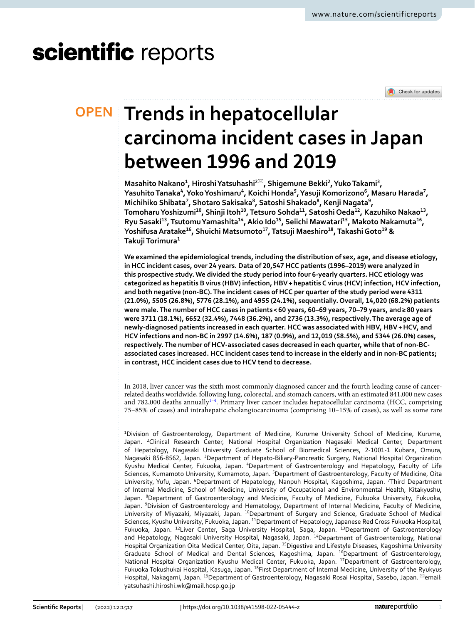# scientific reports

Check for updates

## **Trends in hepatocellular OPEN carcinoma incident cases in Japan between 1996 and 2019**

**Masahito Nakano<sup>1</sup>, Hiroshi Yatsuhashi<sup>2⊠</sup>, Shigemune Bekki<sup>2</sup>, Yuko Takami<sup>3</sup>,**  $\mathbf{Y}$ asuhito Tanaka", Yoko Yoshimaru", Koichi Honda<sup>5</sup>, Yasuji Komorizono<sup>6</sup>, Masaru Harada<sup>7</sup>, **Michihiko Shibata7 , Shotaro Sakisaka8 , Satoshi Shakado8 , Kenji Nagata9 , TomoharuYoshizumi10, Shinji Itoh10, Tetsuro Sohda11, Satoshi Oeda12, Kazuhiko Nakao13, Ryu Sasaki13, TsutomuYamashita14, Akio Ido15, Seiichi Mawatari15, Makoto Nakamuta16, YoshifusaAratake16, Shuichi Matsumoto17, Tatsuji Maeshiro18, TakashiGoto19 & TakujiTorimura1**

**We examined the epidemiological trends, including the distribution of sex, age, and disease etiology, in HCC incident cases, over 24 years. Data of 20,547 HCC patients (1996–2019) were analyzed in this prospective study. We divided the study period into four 6-yearly quarters. HCC etiology was categorized as hepatitis B virus (HBV) infection, HBV+hepatitis C virus (HCV) infection, HCV infection, and both negative (non-BC). The incident cases of HCC per quarter of the study period were 4311 (21.0%), 5505 (26.8%), 5776 (28.1%), and 4955 (24.1%), sequentially. Overall, 14,020 (68.2%) patients were male. The number of HCC cases in patients< 60 years, 60–69 years, 70–79 years, and≥ 80 years were 3711 (18.1%), 6652 (32.4%), 7448 (36.2%), and 2736 (13.3%), respectively. The average age of newly-diagnosed patients increased in each quarter. HCC was associated with HBV, HBV+HCV, and HCV infections and non-BC in 2997 (14.6%), 187 (0.9%), and 12,019 (58.5%), and 5344 (26.0%) cases, respectively. The number of HCV-associated cases decreased in each quarter, while that of non-BCassociated cases increased. HCC incident cases tend to increase in the elderly and in non-BC patients; in contrast, HCC incident cases due to HCV tend to decrease.**

In 2018, liver cancer was the sixth most commonly diagnosed cancer and the fourth leading cause of cancerrelated deaths worldwide, following lung, colorectal, and stomach cancers, with an estimated 841,000 new cases and 782,000 deaths annually<sup>1-4</sup>. Primary liver cancer includes hepatocellular carcinoma (HCC, comprising 75–85% of cases) and intrahepatic cholangiocarcinoma (comprising 10–15% of cases), as well as some rare

<sup>1</sup>Division of Gastroenterology, Department of Medicine, Kurume University School of Medicine, Kurume, Japan. <sup>2</sup>Clinical Research Center, National Hospital Organization Nagasaki Medical Center, Department of Hepatology, Nagasaki University Graduate School of Biomedical Sciences, 2-1001-1 Kubara, Omura, Nagasaki 856-8562, Japan. <sup>3</sup>Department of Hepato-Biliary-Pancreatic Surgery, National Hospital Organization Kyushu Medical Center, Fukuoka, Japan. <sup>4</sup>Department of Gastroenterology and Hepatology, Faculty of Life Sciences, Kumamoto University, Kumamoto, Japan. <sup>5</sup>Department of Gastroenterology, Faculty of Medicine, Oita University, Yufu, Japan. <sup>6</sup>Department of Hepatology, Nanpuh Hospital, Kagoshima, Japan. <sup>7</sup>Third Department of Internal Medicine, School of Medicine, University of Occupational and Environmental Health, Kitakyushu, Japan. <sup>8</sup>Department of Gastroenterology and Medicine, Faculty of Medicine, Fukuoka University, Fukuoka, Japan. <sup>9</sup>Division of Gastroenterology and Hematology, Department of Internal Medicine, Faculty of Medicine, University of Miyazaki, Miyazaki, Japan. 10Department of Surgery and Science, Graduate School of Medical Sciences, Kyushu University, Fukuoka, Japan. 11Department of Hepatology, Japanese Red Cross Fukuoka Hospital, Fukuoka, Japan. 12Liver Center, Saga University Hospital, Saga, Japan. <sup>13</sup>Department of Gastroenterology and Hepatology, Nagasaki University Hospital, Nagasaki, Japan. 14Department of Gastroenterology, National Hospital Organization Oita Medical Center, Oita, Japan. 15Digestive and Lifestyle Diseases, Kagoshima University Graduate School of Medical and Dental Sciences, Kagoshima, Japan. <sup>16</sup>Department of Gastroenterology, National Hospital Organization Kyushu Medical Center, Fukuoka, Japan. <sup>17</sup>Department of Gastroenterology, Fukuoka Tokushukai Hospital, Kasuga, Japan. 18First Department of Internal Medicine, University of the Ryukyus Hospital, Nakagami, Japan. <sup>19</sup>Department of Gastroenterology, Nagasaki Rosai Hospital, Sasebo, Japan. <sup>24</sup>email: yatsuhashi.hiroshi.wk@mail.hosp.go.jp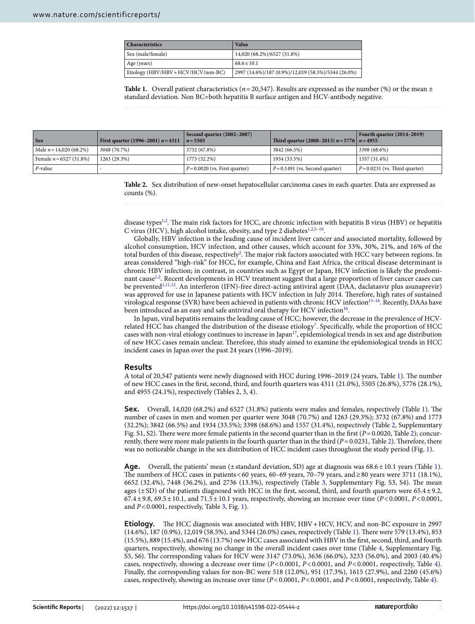| <b>Characteristics</b>              | Value                                               |
|-------------------------------------|-----------------------------------------------------|
| Sex (male/female)                   | 14,020 (68.2%)/6527 (31.8%)                         |
| Age (years)                         | $68.6 \pm 10.1$                                     |
| Etiology (HBV/HBV + HCV/HCV/non-BC) | 2997 (14.6%)/187 (0.9%)/12,019 (58.5%)/5344 (26.0%) |

<span id="page-1-0"></span>**Table 1.** Overall patient characteristics ( $n=20,547$ ). Results are expressed as the number (%) or the mean  $\pm$ standard deviation. Non BC=both hepatitis B surface antigen and HCV-antibody negative.

| <b>Sex</b>                | First quarter (1996–2001) $n = 4311$ | Second quarter $(2002-2007)$<br>$n = 5505$ | Third quarter (2008–2013) $n = 5776$   $n = 4955$ | Fourth quarter $(2014-2019)$     |
|---------------------------|--------------------------------------|--------------------------------------------|---------------------------------------------------|----------------------------------|
| Male $n = 14,020(68.2%)$  | 3048 (70.7%)                         | 3732 (67.8%)                               | 3842 (66.5%)                                      | 3398 (68.6%)                     |
| Female $n = 6527$ (31.8%) | 1263 (29.3%)                         | 1773 (32.2%)                               | 1934 (33.5%)                                      | 1557 (31.4%)                     |
| P-value                   |                                      | $P = 0.0020$ (vs. First quarter)           | $P = 0.1491$ (vs. Second quarter)                 | $P = 0.0231$ (vs. Third quarter) |

<span id="page-1-1"></span>**Table 2.** Sex distribution of new-onset hepatocellular carcinoma cases in each quarter. Data are expressed as counts (%).

disease types<sup>[1,](#page-4-0)[2](#page-4-2)</sup>. The main risk factors for HCC, are chronic infection with hepatitis B virus (HBV) or hepatitis C virus (HCV), high alcohol intake, obesity, and type 2 diabetes<sup>[1,](#page-4-0)[2,](#page-4-2)[5–](#page-4-3)10</sup>.

Globally, HBV infection is the leading cause of incident liver cancer and associated mortality, followed by alcohol consumption, HCV infection, and other causes, which account for 33%, 30%, 21%, and 16% of the total burden of this disease, respectively<sup>[2](#page-4-2)</sup>. The major risk factors associated with HCC vary between regions. In areas considered "high-risk" for HCC, for example, China and East Africa, the critical disease determinant is chronic HBV infection; in contrast, in countries such as Egypt or Japan, HCV infection is likely the predomi-nant cause<sup>1[,2](#page-4-2)</sup>. Recent developments in HCV treatment suggest that a large proportion of liver cancer cases can be prevented<sup>1[,11](#page-4-5)[,12](#page-4-6)</sup>. An interferon (IFN)-free direct-acting antiviral agent (DAA, daclatasvir plus asunaprevir) was approved for use in Japanese patients with HCV infection in July 2014. Terefore, high rates of sustained virological response (SVR) have been achieved in patients with chronic HCV infectio[n13–](#page-4-7)[16](#page-5-0). Recently, DAAs have been introduced as an easy and safe antiviral oral therapy for HCV infection<sup>[16](#page-5-0)</sup>.

In Japan, viral hepatitis remains the leading cause of HCC; however, the decrease in the prevalence of HCV-related HCC has changed the distribution of the disease etiology<sup>[7](#page-4-8)</sup>. Specifically, while the proportion of HCC cases with non-viral etiology continues to increase in Japan $17$ , epidemiological trends in sex and age distribution of new HCC cases remain unclear. Therefore, this study aimed to examine the epidemiological trends in HCC incident cases in Japan over the past 24 years (1996–2019).

#### **Results**

A total of 20,547 patients were newly diagnosed with HCC during 1996–2019 (24 years, Table [1](#page-1-0)). Te number of new HCC cases in the frst, second, third, and fourth quarters was 4311 (21.0%), 5505 (26.8%), 5776 (28.1%), and 4955 (24.1%), respectively (Tables 2, 3, 4).

**Sex.** Overall, [1](#page-1-0)4,020 (68.2%) and 6527 (31.8%) patients were males and females, respectively (Table 1). The number of cases in men and women per quarter were 3048 (70.7%) and 1263 (29.3%); 3732 (67.8%) and 1773 (32.2%); 3842 (66.5%) and 1934 (33.5%); 3398 (68.6%) and 1557 (31.4%), respectively (Table [2](#page-1-1), Supplementary Fig. S1, S[2](#page-1-1)). There were more female patients in the second quarter than in the first  $(P=0.0020,$  Table 2); concurrently, there were more male patients in the fourth quarter than in the third (*P*=0.0231, Table [2\)](#page-1-1). Terefore, there was no noticeable change in the sex distribution of HCC incident cases throughout the study period (Fig. [1\)](#page-2-0).

Age. Overall, the patients' mean (±standard deviation, SD) age at diagnosis was 68.6±[1](#page-1-0)0.1 years (Table 1). The numbers of HCC cases in patients < 60 years, 60–69 years, 70–79 years, and ≥80 years were 3711 (18.1%), 6652 (32.4%), 7448 (36.2%), and 2736 (13.3%), respectively (Table [3,](#page-2-1) Supplementary Fig. S3, S4). The mean ages ( $\pm$ SD) of the patients diagnosed with HCC in the first, second, third, and fourth quarters were 65.4 $\pm$ 9.2, 67.4±9.8, 69.5±10.1, and 71.5±10.1 years, respectively, showing an increase over time (*P*<0.0001, *P*<0.0001, and *P*<0.0001, respectively, Table [3,](#page-2-1) Fig. [1\)](#page-2-0).

**Etiology.** The HCC diagnosis was associated with HBV, HBV + HCV, HCV, and non-BC exposure in 2997 (14.6%), 187 (0.9%), 12,019 (58.5%), and 5344 (26.0%) cases, respectively (Table [1](#page-1-0)). Tere were 579 (13.4%), 853 (15.5%), 889 (15.4%), and 676 (13.7%) new HCC cases associated with HBV in the frst, second, third, and fourth quarters, respectively, showing no change in the overall incident cases over time (Table [4](#page-2-2), Supplementary Fig. S5, S6). The corresponding values for HCV were 3147 (73.0%), 3636 (66.0%), 3233 (56.0%), and 2003 (40.4%) cases, respectively, showing a decrease over time ( $P < 0.0001$ ,  $P < 0.0001$ , and  $P < 0.0001$ , respectively, Table [4](#page-2-2)). Finally, the corresponding values for non-BC were 518 (12.0%), 951 (17.3%), 1615 (27.9%), and 2260 (45.6%) cases, respectively, showing an increase over time (*P*<0.0001, *P*<0.0001, and *P*<0.0001, respectively, Table [4](#page-2-2)).

2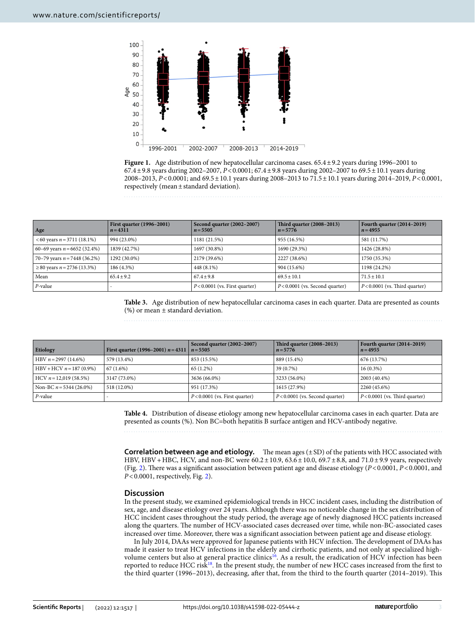

<span id="page-2-0"></span>**Figure 1.** Age distribution of new hepatocellular carcinoma cases. 65.4±9.2 years during 1996–2001 to 67.4±9.8 years during 2002–2007, *P*<0.0001; 67.4±9.8 years during 2002–2007 to 69.5±10.1 years during 2008–2013, *P*<0.0001; and 69.5±10.1 years during 2008–2013 to 71.5±10.1 years during 2014–2019, *P*<0.0001, respectively (mean±standard deviation).

| Age                                     | <b>First quarter (1996–2001)</b><br>$n = 4311$ | Second quarter (2002–2007)<br>$n = 5505$ | <b>Third quarter (2008–2013)</b><br>$n = 5776$ | Fourth quarter $(2014-2019)$<br>$n = 4955$ |
|-----------------------------------------|------------------------------------------------|------------------------------------------|------------------------------------------------|--------------------------------------------|
| $<60$ years $n = 3711$ (18.1%)          | 994 (23.0%)                                    | 1181 (21.5%)                             | 955 (16.5%)                                    | 581 (11.7%)                                |
| 60–69 years $n = 6652$ (32.4%)          | 1839 (42.7%)                                   | 1697 (30.8%)                             | 1690 (29.3%)                                   | 1426 (28.8%)                               |
| 70–79 years $n = 7448$ (36.2%)          | 1292 (30.0%)                                   | 2179 (39.6%)                             | 2227 (38.6%)                                   | 1750 (35.3%)                               |
| $\geq$ 80 years <i>n</i> = 2736 (13.3%) | 186 (4.3%)                                     | 448 (8.1%)                               | 904 (15.6%)                                    | 1198 (24.2%)                               |
| Mean                                    | $65.4 \pm 9.2$                                 | $67.4 + 9.8$                             | $69.5 \pm 10.1$                                | $71.5 \pm 10.1$                            |
| $P$ -value                              |                                                | $P < 0.0001$ (vs. First quarter)         | $P < 0.0001$ (vs. Second quarter)              | $P < 0.0001$ (vs. Third quarter)           |

<span id="page-2-1"></span>**Table 3.** Age distribution of new hepatocellular carcinoma cases in each quarter. Data are presented as counts (%) or mean ± standard deviation.

| Etiology                  | First quarter (1996–2001) $n = 4311$ | Second quarter (2002–2007)<br>$n = 5505$ | Third quarter (2008-2013)<br>$n = 5776$ | Fourth quarter (2014–2019)<br>$n = 4955$ |
|---------------------------|--------------------------------------|------------------------------------------|-----------------------------------------|------------------------------------------|
| HBV $n = 2997$ (14.6%)    | 579 (13.4%)                          | 853 (15.5%)                              | 889 (15.4%)                             | 676 (13.7%)                              |
| $HBV + HCV n = 187(0.9%)$ | $67(1.6\%)$                          | $65(1.2\%)$                              | 39 (0.7%)                               | $16(0.3\%)$                              |
| $HCV n = 12,019(58.5%)$   | 3147 (73.0%)                         | 3636 (66.0%)                             | 3233 (56.0%)                            | 2003 (40.4%)                             |
| Non-BC $n = 5344$ (26.0%) | 518 (12.0%)                          | 951 (17.3%)                              | 1615 (27.9%)                            | 2260 (45.6%)                             |
| P-value                   |                                      | $P < 0.0001$ (vs. First quarter)         | $P < 0.0001$ (vs. Second quarter)       | $P < 0.0001$ (vs. Third quarter)         |

<span id="page-2-2"></span>**Table 4.** Distribution of disease etiology among new hepatocellular carcinoma cases in each quarter. Data are presented as counts (%). Non BC=both hepatitis B surface antigen and HCV-antibody negative.

**Correlation between age and etiology.** The mean ages  $(\pm SD)$  of the patients with HCC associated with HBV, HBV + HBC, HCV, and non-BC were  $60.2 \pm 10.9$ ,  $63.6 \pm 10.0$ ,  $69.7 \pm 8.8$ , and  $71.0 \pm 9.9$  years, respectively (Fig. [2\)](#page-3-0). There was a significant association between patient age and disease etiology (*P*<0.0001, *P*<0.0001, and *P*<0.0001, respectively, Fig. [2](#page-3-0)).

#### **Discussion**

In the present study, we examined epidemiological trends in HCC incident cases, including the distribution of sex, age, and disease etiology over 24 years. Although there was no noticeable change in the sex distribution of HCC incident cases throughout the study period, the average age of newly diagnosed HCC patients increased along the quarters. The number of HCV-associated cases decreased over time, while non-BC-associated cases increased over time. Moreover, there was a signifcant association between patient age and disease etiology.

In July 2014, DAAs were approved for Japanese patients with HCV infection. The development of DAAs has made it easier to treat HCV infections in the elderly and cirrhotic patients, and not only at specialized highvolume centers but also at general practice clinics<sup>16</sup>. As a result, the eradication of HCV infection has been reported to reduce HCC risk<sup>18</sup>. In the present study, the number of new HCC cases increased from the first to the third quarter (1996–2013), decreasing, afer that, from the third to the fourth quarter (2014–2019). Tis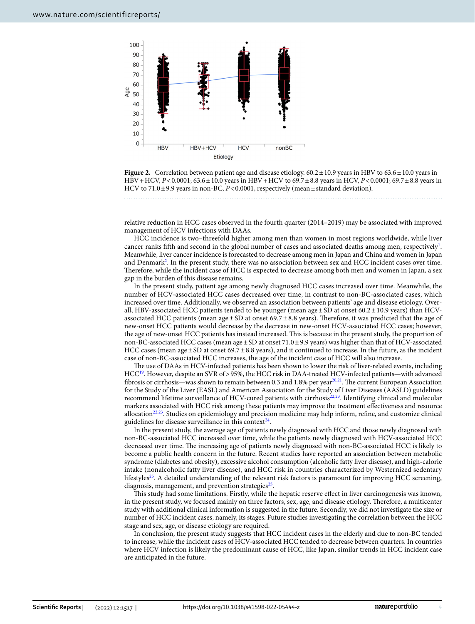

<span id="page-3-0"></span>

relative reduction in HCC cases observed in the fourth quarter (2014–2019) may be associated with improved management of HCV infections with DAAs.

HCC incidence is two–threefold higher among men than women in most regions worldwide, while liver cancer ranks fifth and second in the global number of cases and associated deaths among men, respectively $^{\text{l}}$ . Meanwhile, liver cancer incidence is forecasted to decrease among men in Japan and China and women in Japan and Denmar[k2](#page-4-2) . In the present study, there was no association between sex and HCC incident cases over time. Therefore, while the incident case of HCC is expected to decrease among both men and women in Japan, a sex gap in the burden of this disease remains.

In the present study, patient age among newly diagnosed HCC cases increased over time. Meanwhile, the number of HCV-associated HCC cases decreased over time, in contrast to non-BC-associated cases, which increased over time. Additionally, we observed an association between patients' age and disease etiology. Overall, HBV-associated HCC patients tended to be younger (mean age  $\pm$  SD at onset 60.2 $\pm$ 10.9 years) than HCVassociated HCC patients (mean age  $\pm$  SD at onset 69.7 $\pm$ 8.8 years). Therefore, it was predicted that the age of new-onset HCC patients would decrease by the decrease in new-onset HCV-associated HCC cases; however, the age of new-onset HCC patients has instead increased. This is because in the present study, the proportion of non-BC-associated HCC cases (mean age ± SD at onset 71.0 ± 9.9 years) was higher than that of HCV-associated HCC cases (mean age±SD at onset 69.7±8.8 years), and it continued to increase. In the future, as the incident case of non-BC-associated HCC increases, the age of the incident case of HCC will also increase.

The use of DAAs in HCV-infected patients has been shown to lower the risk of liver-related events, including HCC[19](#page-5-3). However, despite an SVR of>95%, the HCC risk in DAA-treated HCV-infected patients—with advanced fibrosis or cirrhosis—was shown to remain between 0.3 and 1.8% per year $^{20,21}$ . The current European Association for the Study of the Liver (EASL) and American Association for the Study of Liver Diseases (AASLD) guidelines recommend lifetime surveillance of HCV-cured patients with cirrhosis<sup>[22](#page-5-6),[23](#page-5-7)</sup>. Identifying clinical and molecular markers associated with HCC risk among these patients may improve the treatment efectiveness and resource allocation[22](#page-5-6),[23](#page-5-7). Studies on epidemiology and precision medicine may help inform, refne, and customize clinical guidelines for disease surveillance in this context<sup>24</sup>.

In the present study, the average age of patients newly diagnosed with HCC and those newly diagnosed with non-BC-associated HCC increased over time, while the patients newly diagnosed with HCV-associated HCC decreased over time. The increasing age of patients newly diagnosed with non-BC-associated HCC is likely to become a public health concern in the future. Recent studies have reported an association between metabolic syndrome (diabetes and obesity), excessive alcohol consumption (alcoholic fatty liver disease), and high-calorie intake (nonalcoholic fatty liver disease), and HCC risk in countries characterized by Westernized sedentary lifestyles<sup>25</sup>. A detailed understanding of the relevant risk factors is paramount for improving HCC screening, diagnosis, management, and prevention strategies $25$ .

Tis study had some limitations. Firstly, while the hepatic reserve efect in liver carcinogenesis was known, in the present study, we focused mainly on three factors, sex, age, and disease etiology. Therefore, a multicenter study with additional clinical information is suggested in the future. Secondly, we did not investigate the size or number of HCC incident cases, namely, its stages. Future studies investigating the correlation between the HCC stage and sex, age, or disease etiology are required.

In conclusion, the present study suggests that HCC incident cases in the elderly and due to non-BC tended to increase, while the incident cases of HCV-associated HCC tended to decrease between quarters. In countries where HCV infection is likely the predominant cause of HCC, like Japan, similar trends in HCC incident case are anticipated in the future.

4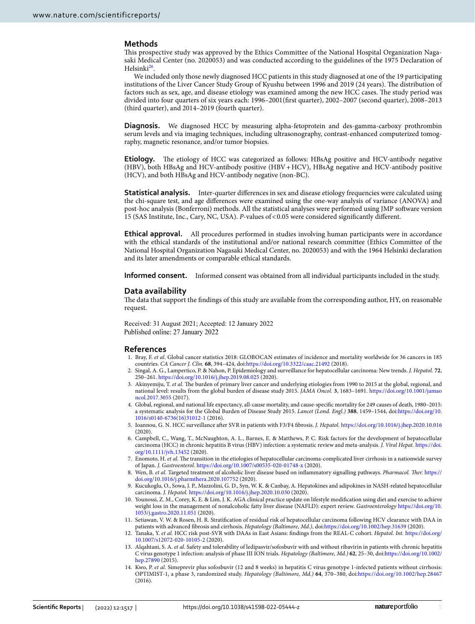#### **Methods**

Tis prospective study was approved by the Ethics Committee of the National Hospital Organization Nagasaki Medical Center (no. 2020053) and was conducted according to the guidelines of the 1975 Declaration of Helsinki[26](#page-5-10).

We included only those newly diagnosed HCC patients in this study diagnosed at one of the 19 participating institutions of the Liver Cancer Study Group of Kyushu between 1996 and 2019 (24 years). The distribution of factors such as sex, age, and disease etiology was examined among the new HCC cases. The study period was divided into four quarters of six years each: 1996–2001(frst quarter), 2002–2007 (second quarter), 2008–2013 (third quarter), and 2014–2019 (fourth quarter).

**Diagnosis.** We diagnosed HCC by measuring alpha-fetoprotein and des-gamma-carboxy prothrombin serum levels and via imaging techniques, including ultrasonography, contrast-enhanced computerized tomography, magnetic resonance, and/or tumor biopsies.

Etiology. The etiology of HCC was categorized as follows: HBsAg positive and HCV-antibody negative (HBV), both HBsAg and HCV-antibody positive (HBV+HCV), HBsAg negative and HCV-antibody positive (HCV), and both HBsAg and HCV-antibody negative (non-BC).

**Statistical analysis.** Inter-quarter differences in sex and disease etiology frequencies were calculated using the chi-square test, and age diferences were examined using the one-way analysis of variance (ANOVA) and post-hoc analysis (Bonferroni) methods. All the statistical analyses were performed using JMP sofware version 15 (SAS Institute, Inc., Cary, NC, USA). *P*-values of<0.05 were considered signifcantly diferent.

**Ethical approval.** All procedures performed in studies involving human participants were in accordance with the ethical standards of the institutional and/or national research committee (Ethics Committee of the National Hospital Organization Nagasaki Medical Center, no. 2020053) and with the 1964 Helsinki declaration and its later amendments or comparable ethical standards.

**Informed consent.** Informed consent was obtained from all individual participants included in the study.

#### **Data availability**

The data that support the findings of this study are available from the corresponding author, HY, on reasonable request.

Received: 31 August 2021; Accepted: 12 January 2022 Published online: 27 January 2022

#### **References**

- <span id="page-4-0"></span>1. Bray, F. *et al.* Global cancer statistics 2018: GLOBOCAN estimates of incidence and mortality worldwide for 36 cancers in 185 countries. *CA Cancer J. Clin.* **68**, 394–424, doi:<https://doi.org/10.3322/caac.21492>(2018).
- <span id="page-4-2"></span>2. Singal, A. G., Lampertico, P. & Nahon, P. Epidemiology and surveillance for hepatocellular carcinoma: New trends. *J. Hepatol.* **72**, 250–261. <https://doi.org/10.1016/j.jhep.2019.08.025> (2020).
- 3. Akinyemiju, T. et al. The burden of primary liver cancer and underlying etiologies from 1990 to 2015 at the global, regional, and national level: results from the global burden of disease study 2015. *JAMA Oncol.* **3**, 1683–1691. [https://doi.org/10.1001/jamao](https://doi.org/10.1001/jamaoncol.2017.3055) [ncol.2017.3055](https://doi.org/10.1001/jamaoncol.2017.3055) (2017).
- <span id="page-4-1"></span>4. Global, regional, and national life expectancy, all-cause mortality, and cause-specifc mortality for 249 causes of death, 1980–2015: a systematic analysis for the Global Burden of Disease Study 2015. *Lancet (Lond. Engl.)* **388**, 1459–1544, doi:[https://doi.org/10.](https://doi.org/10.1016/s0140-6736(16)31012-1) [1016/s0140-6736\(16\)31012-1](https://doi.org/10.1016/s0140-6736(16)31012-1) (2016).
- <span id="page-4-3"></span>5. Ioannou, G. N. HCC surveillance afer SVR in patients with F3/F4 fbrosis. *J. Hepatol.* <https://doi.org/10.1016/j.jhep.2020.10.016> (2020).
- 6. Campbell, C., Wang, T., McNaughton, A. L., Barnes, E. & Matthews, P. C. Risk factors for the development of hepatocellular carcinoma (HCC) in chronic hepatitis B virus (HBV) infection: a systematic review and meta-analysis. *J. Viral Hepat.* [https://doi.](https://doi.org/10.1111/jvh.13452) [org/10.1111/jvh.13452](https://doi.org/10.1111/jvh.13452) (2020).
- <span id="page-4-8"></span>7. Enomoto, H. et al. The transition in the etiologies of hepatocellular carcinoma-complicated liver cirrhosis in a nationwide survey of Japan. *J. Gastroenterol.* <https://doi.org/10.1007/s00535-020-01748-x> (2020).
- 8. Wen, B. *et al.* Targeted treatment of alcoholic liver disease based on infammatory signalling pathways. *Pharmacol. Ter.* [https://](https://doi.org/10.1016/j.pharmthera.2020.107752) [doi.org/10.1016/j.pharmthera.2020.107752](https://doi.org/10.1016/j.pharmthera.2020.107752) (2020).
- 9. Kucukoglu, O., Sowa, J. P., Mazzolini, G. D., Syn, W. K. & Canbay, A. Hepatokines and adipokines in NASH-related hepatocellular carcinoma. *J. Hepatol.* <https://doi.org/10.1016/j.jhep.2020.10.030>(2020).
- <span id="page-4-4"></span>10. Younossi, Z. M., Corey, K. E. & Lim, J. K. AGA clinical practice update on lifestyle modifcation using diet and exercise to achieve weight loss in the management of nonalcoholic fatty liver disease (NAFLD): expert review. *Gastroenterology* [https://doi.org/10.](https://doi.org/10.1053/j.gastro.2020.11.051) [1053/j.gastro.2020.11.051](https://doi.org/10.1053/j.gastro.2020.11.051) (2020).
- <span id="page-4-5"></span>11. Setiawan, V. W. & Rosen, H. R. Stratifcation of residual risk of hepatocellular carcinoma following HCV clearance with DAA in patients with advanced fbrosis and cirrhosis. *Hepatology (Baltimore, Md.)*, doi:<https://doi.org/10.1002/hep.31639> (2020).
- <span id="page-4-6"></span>12. Tanaka, Y. *et al.* HCC risk post-SVR with DAAs in East Asians: fndings from the REAL-C cohort. *Hepatol. Int.* [https://doi.org/](https://doi.org/10.1007/s12072-020-10105-2) [10.1007/s12072-020-10105-2](https://doi.org/10.1007/s12072-020-10105-2) (2020).
- <span id="page-4-7"></span>13. Alqahtani, S. A. *et al.* Safety and tolerability of ledipasvir/sofosbuvir with and without ribavirin in patients with chronic hepatitis C virus genotype 1 infection: analysis of phase III ION trials. *Hepatology (Baltimore, Md.)* **62**, 25–30, doi[:https://doi.org/10.1002/](https://doi.org/10.1002/hep.27890) [hep.27890](https://doi.org/10.1002/hep.27890) (2015).
- 14. Kwo, P. *et al.* Simeprevir plus sofosbuvir (12 and 8 weeks) in hepatitis C virus genotype 1-infected patients without cirrhosis: OPTIMIST-1, a phase 3, randomized study. *Hepatology (Baltimore, Md.)* **64**, 370–380, doi:<https://doi.org/10.1002/hep.28467> (2016).